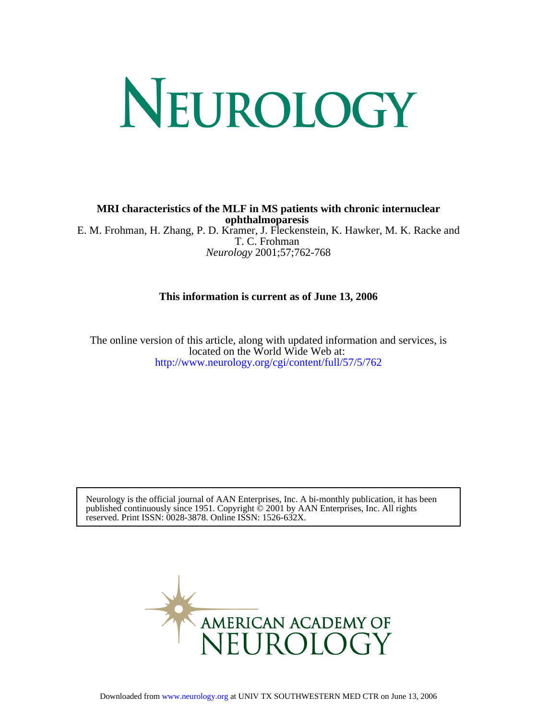# NEUROLOGY

*Neurology* 2001;57;762-768 T. C. Frohman E. M. Frohman, H. Zhang, P. D. Kramer, J. Fleckenstein, K. Hawker, M. K. Racke and **ophthalmoparesis MRI characteristics of the MLF in MS patients with chronic internuclear**

### **This information is current as of June 13, 2006**

<http://www.neurology.org/cgi/content/full/57/5/762> located on the World Wide Web at: The online version of this article, along with updated information and services, is

reserved. Print ISSN: 0028-3878. Online ISSN: 1526-632X. published continuously since 1951. Copyright © 2001 by AAN Enterprises, Inc. All rights Neurology is the official journal of AAN Enterprises, Inc. A bi-monthly publication, it has been

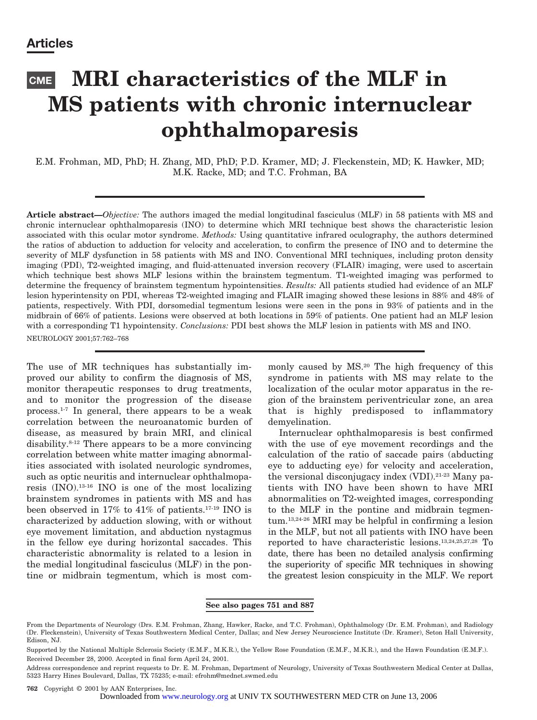# **CME MRI characteristics of the MLF in MS patients with chronic internuclear ophthalmoparesis**

E.M. Frohman, MD, PhD; H. Zhang, MD, PhD; P.D. Kramer, MD; J. Fleckenstein, MD; K. Hawker, MD; M.K. Racke, MD; and T.C. Frohman, BA

**Article abstract—***Objective:* The authors imaged the medial longitudinal fasciculus (MLF) in 58 patients with MS and chronic internuclear ophthalmoparesis (INO) to determine which MRI technique best shows the characteristic lesion associated with this ocular motor syndrome. *Methods:* Using quantitative infrared oculography, the authors determined the ratios of abduction to adduction for velocity and acceleration, to confirm the presence of INO and to determine the severity of MLF dysfunction in 58 patients with MS and INO. Conventional MRI techniques, including proton density imaging (PDI), T2-weighted imaging, and fluid-attenuated inversion recovery (FLAIR) imaging, were used to ascertain which technique best shows MLF lesions within the brainstem tegmentum. T1-weighted imaging was performed to determine the frequency of brainstem tegmentum hypointensities. *Results:* All patients studied had evidence of an MLF lesion hyperintensity on PDI, whereas T2-weighted imaging and FLAIR imaging showed these lesions in 88% and 48% of patients, respectively. With PDI, dorsomedial tegmentum lesions were seen in the pons in 93% of patients and in the midbrain of 66% of patients. Lesions were observed at both locations in 59% of patients. One patient had an MLF lesion with a corresponding T1 hypointensity. *Conclusions:* PDI best shows the MLF lesion in patients with MS and INO. NEUROLOGY 2001;57:762–768

The use of MR techniques has substantially improved our ability to confirm the diagnosis of MS, monitor therapeutic responses to drug treatments, and to monitor the progression of the disease process.1-7 In general, there appears to be a weak correlation between the neuroanatomic burden of disease, as measured by brain MRI, and clinical disability.8-12 There appears to be a more convincing correlation between white matter imaging abnormalities associated with isolated neurologic syndromes, such as optic neuritis and internuclear ophthalmoparesis (INO).13-16 INO is one of the most localizing brainstem syndromes in patients with MS and has been observed in 17% to 41% of patients.17-19 INO is characterized by adduction slowing, with or without eye movement limitation, and abduction nystagmus in the fellow eye during horizontal saccades. This characteristic abnormality is related to a lesion in the medial longitudinal fasciculus (MLF) in the pontine or midbrain tegmentum, which is most commonly caused by MS.<sup>20</sup> The high frequency of this syndrome in patients with MS may relate to the localization of the ocular motor apparatus in the region of the brainstem periventricular zone, an area that is highly predisposed to inflammatory demyelination.

Internuclear ophthalmoparesis is best confirmed with the use of eye movement recordings and the calculation of the ratio of saccade pairs (abducting eye to adducting eye) for velocity and acceleration, the versional disconjugacy index (VDI).21-23 Many patients with INO have been shown to have MRI abnormalities on T2-weighted images, corresponding to the MLF in the pontine and midbrain tegmentum.13,24-26 MRI may be helpful in confirming a lesion in the MLF, but not all patients with INO have been reported to have characteristic lesions.13,24,25,27,28 To date, there has been no detailed analysis confirming the superiority of specific MR techniques in showing the greatest lesion conspicuity in the MLF. We report

#### **See also pages 751 and 887**

Downloaded from [www.neurology.org](http://www.neurology.org) at UNIV TX SOUTHWESTERN MED CTR on June 13, 2006

From the Departments of Neurology (Drs. E.M. Frohman, Zhang, Hawker, Racke, and T.C. Frohman), Ophthalmology (Dr. E.M. Frohman), and Radiology (Dr. Fleckenstein), University of Texas Southwestern Medical Center, Dallas; and New Jersey Neuroscience Institute (Dr. Kramer), Seton Hall University, Edison, NJ.

Supported by the National Multiple Sclerosis Society (E.M.F., M.K.R.), the Yellow Rose Foundation (E.M.F., M.K.R.), and the Hawn Foundation (E.M.F.). Received December 28, 2000. Accepted in final form April 24, 2001.

Address correspondence and reprint requests to Dr. E. M. Frohman, Department of Neurology, University of Texas Southwestern Medical Center at Dallas, 5323 Harry Hines Boulevard, Dallas, TX 75235; e-mail: efrohm@mednet.swmed.edu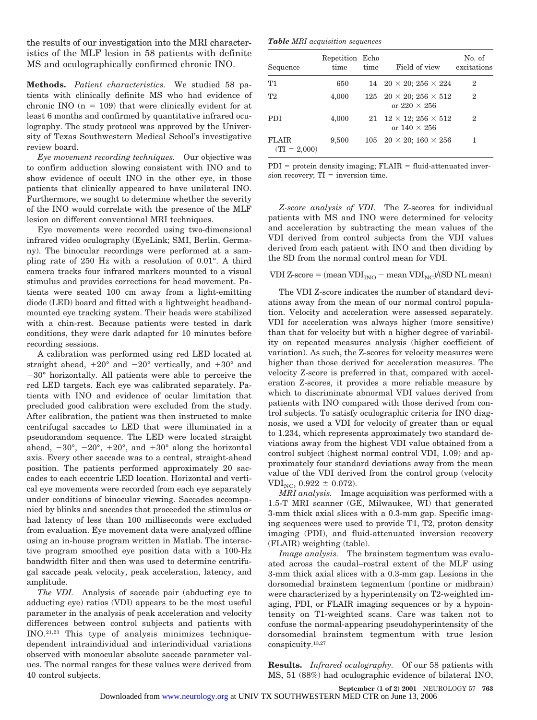the results of our investigation into the MRI characteristics of the MLF lesion in 58 patients with definite MS and oculographically confirmed chronic INO.

**Methods.** *Patient characteristics.* We studied 58 patients with clinically definite MS who had evidence of chronic INO  $(n = 109)$  that were clinically evident for at least 6 months and confirmed by quantitative infrared oculography. The study protocol was approved by the University of Texas Southwestern Medical School's investigative review board.

*Eye movement recording techniques.* Our objective was to confirm adduction slowing consistent with INO and to show evidence of occult INO in the other eye, in those patients that clinically appeared to have unilateral INO. Furthermore, we sought to determine whether the severity of the INO would correlate with the presence of the MLF lesion on different conventional MRI techniques.

Eye movements were recorded using two-dimensional infrared video oculography (EyeLink; SMI, Berlin, Germany). The binocular recordings were performed at a sampling rate of 250 Hz with a resolution of 0.01°. A third camera tracks four infrared markers mounted to a visual stimulus and provides corrections for head movement. Patients were seated 100 cm away from a light-emitting diode (LED) board and fitted with a lightweight headbandmounted eye tracking system. Their heads were stabilized with a chin-rest. Because patients were tested in dark conditions, they were dark adapted for 10 minutes before recording sessions.

A calibration was performed using red LED located at straight ahead,  $+20^{\circ}$  and  $-20^{\circ}$  vertically, and  $+30^{\circ}$  and 30° horizontally. All patients were able to perceive the red LED targets. Each eye was calibrated separately. Patients with INO and evidence of ocular limitation that precluded good calibration were excluded from the study. After calibration, the patient was then instructed to make centrifugal saccades to LED that were illuminated in a pseudorandom sequence. The LED were located straight ahead,  $-30^{\circ}$ ,  $-20^{\circ}$ ,  $+20^{\circ}$ , and  $+30^{\circ}$  along the horizontal axis. Every other saccade was to a central, straight-ahead position. The patients performed approximately 20 saccades to each eccentric LED location. Horizontal and vertical eye movements were recorded from each eye separately under conditions of binocular viewing. Saccades accompanied by blinks and saccades that proceeded the stimulus or had latency of less than 100 milliseconds were excluded from evaluation. Eye movement data were analyzed offline using an in-house program written in Matlab. The interactive program smoothed eye position data with a 100-Hz bandwidth filter and then was used to determine centrifugal saccade peak velocity, peak acceleration, latency, and amplitude.

*The VDI.* Analysis of saccade pair (abducting eye to adducting eye) ratios (VDI) appears to be the most useful parameter in the analysis of peak acceleration and velocity differences between control subjects and patients with INO.21,23 This type of analysis minimizes techniquedependent intraindividual and interindividual variations observed with monocular absolute saccade parameter values. The normal ranges for these values were derived from 40 control subjects.

*Table MRI acquisition sequences*

| Sequence                       | Repetition Echo<br>time | time | Field of view                                                      | No. of<br>excitations |
|--------------------------------|-------------------------|------|--------------------------------------------------------------------|-----------------------|
| T1                             | 650                     |      | 14 $20 \times 20$ ; $256 \times 224$                               | 2                     |
| T <sub>2</sub>                 | 4,000                   |      | $125 \quad 20 \times 20$ ; $256 \times 512$<br>or $220 \times 256$ | 2                     |
| PDI                            | 4,000                   |      | 21 $12 \times 12$ ; 256 $\times 512$<br>or $140 \times 256$        | $\mathbf{2}$          |
| <b>FLAIR</b><br>$(TI = 2,000)$ | 9,500                   |      | $105 \quad 20 \times 20$ ; $160 \times 256$                        |                       |

 $PDI =$  protein density imaging;  $FLAIR = fluid-attenuated inver$ sion recovery:  $TI =$  inversion time.

*Z-score analysis of VDI.* The Z-scores for individual patients with MS and INO were determined for velocity and acceleration by subtracting the mean values of the VDI derived from control subjects from the VDI values derived from each patient with INO and then dividing by the SD from the normal control mean for VDI.

#### VDI Z-score = (mean VDI<sub>INO</sub> – mean VDI<sub>NC</sub>)/(SD NL mean)

The VDI Z-score indicates the number of standard deviations away from the mean of our normal control population. Velocity and acceleration were assessed separately. VDI for acceleration was always higher (more sensitive) than that for velocity but with a higher degree of variability on repeated measures analysis (higher coefficient of variation). As such, the Z-scores for velocity measures were higher than those derived for acceleration measures. The velocity Z-score is preferred in that, compared with acceleration Z-scores, it provides a more reliable measure by which to discriminate abnormal VDI values derived from patients with INO compared with those derived from control subjects. To satisfy oculographic criteria for INO diagnosis, we used a VDI for velocity of greater than or equal to 1.234, which represents approximately two standard deviations away from the highest VDI value obtained from a control subject (highest normal control VDI, 1.09) and approximately four standard deviations away from the mean value of the VDI derived from the control group (velocity  $VDI_{NC}$ , 0.922  $\pm$  0.072).

*MRI analysis.* Image acquisition was performed with a 1.5-T MRI scanner (GE, Milwaukee, WI) that generated 3-mm thick axial slices with a 0.3-mm gap. Specific imaging sequences were used to provide T1, T2, proton density imaging (PDI), and fluid-attenuated inversion recovery (FLAIR) weighting (table).

*Image analysis.* The brainstem tegmentum was evaluated across the caudal–rostral extent of the MLF using 3-mm thick axial slices with a 0.3-mm gap. Lesions in the dorsomedial brainstem tegmentum (pontine or midbrain) were characterized by a hyperintensity on T2-weighted imaging, PDI, or FLAIR imaging sequences or by a hypointensity on T1-weighted scans. Care was taken not to confuse the normal-appearing pseudohyperintensity of the dorsomedial brainstem tegmentum with true lesion conspicuity.13,27

**Results.** *Infrared oculography.* Of our 58 patients with MS, 51 (88%) had oculographic evidence of bilateral INO,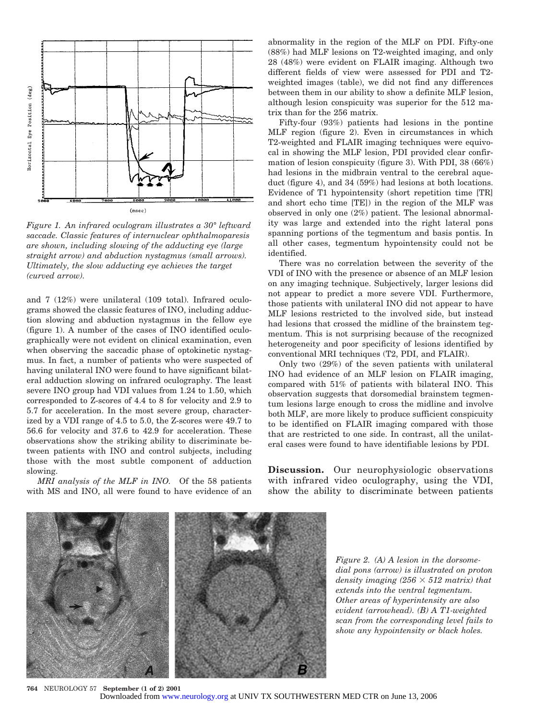

*Figure 1. An infrared oculogram illustrates a 30° leftward saccade. Classic features of internuclear ophthalmoparesis are shown, including slowing of the adducting eye (large straight arrow) and abduction nystagmus (small arrows). Ultimately, the slow adducting eye achieves the target (curved arrow).*

and 7 (12%) were unilateral (109 total). Infrared oculograms showed the classic features of INO, including adduction slowing and abduction nystagmus in the fellow eye (figure 1). A number of the cases of INO identified oculographically were not evident on clinical examination, even when observing the saccadic phase of optokinetic nystagmus. In fact, a number of patients who were suspected of having unilateral INO were found to have significant bilateral adduction slowing on infrared oculography. The least severe INO group had VDI values from 1.24 to 1.50, which corresponded to Z-scores of 4.4 to 8 for velocity and 2.9 to 5.7 for acceleration. In the most severe group, characterized by a VDI range of 4.5 to 5.0, the Z-scores were 49.7 to 56.6 for velocity and 37.6 to 42.9 for acceleration. These observations show the striking ability to discriminate between patients with INO and control subjects, including those with the most subtle component of adduction slowing.

*MRI analysis of the MLF in INO.* Of the 58 patients with MS and INO, all were found to have evidence of an abnormality in the region of the MLF on PDI. Fifty-one (88%) had MLF lesions on T2-weighted imaging, and only 28 (48%) were evident on FLAIR imaging. Although two different fields of view were assessed for PDI and T2 weighted images (table), we did not find any differences between them in our ability to show a definite MLF lesion, although lesion conspicuity was superior for the 512 matrix than for the 256 matrix.

Fifty-four (93%) patients had lesions in the pontine MLF region (figure 2). Even in circumstances in which T2-weighted and FLAIR imaging techniques were equivocal in showing the MLF lesion, PDI provided clear confirmation of lesion conspicuity (figure 3). With PDI, 38 (66%) had lesions in the midbrain ventral to the cerebral aqueduct (figure 4), and 34 (59%) had lesions at both locations. Evidence of T1 hypointensity (short repetition time [TR] and short echo time [TE]) in the region of the MLF was observed in only one (2%) patient. The lesional abnormality was large and extended into the right lateral pons spanning portions of the tegmentum and basis pontis. In all other cases, tegmentum hypointensity could not be identified.

There was no correlation between the severity of the VDI of INO with the presence or absence of an MLF lesion on any imaging technique. Subjectively, larger lesions did not appear to predict a more severe VDI. Furthermore, those patients with unilateral INO did not appear to have MLF lesions restricted to the involved side, but instead had lesions that crossed the midline of the brainstem tegmentum. This is not surprising because of the recognized heterogeneity and poor specificity of lesions identified by conventional MRI techniques (T2, PDI, and FLAIR).

Only two (29%) of the seven patients with unilateral INO had evidence of an MLF lesion on FLAIR imaging, compared with 51% of patients with bilateral INO. This observation suggests that dorsomedial brainstem tegmentum lesions large enough to cross the midline and involve both MLF, are more likely to produce sufficient conspicuity to be identified on FLAIR imaging compared with those that are restricted to one side. In contrast, all the unilateral cases were found to have identifiable lesions by PDI.

**Discussion.** Our neurophysiologic observations with infrared video oculography, using the VDI, show the ability to discriminate between patients



*Figure 2. (A) A lesion in the dorsomedial pons (arrow) is illustrated on proton density imaging*  $(256 \times 512$  *matrix) that extends into the ventral tegmentum. Other areas of hyperintensity are also evident (arrowhead). (B) A T1-weighted scan from the corresponding level fails to show any hypointensity or black holes.*

**764** NEUROLOGY 57 **September (1 of 2) 2001** Downloaded from [www.neurology.org](http://www.neurology.org) at UNIV TX SOUTHWESTERN MED CTR on June 13, 2006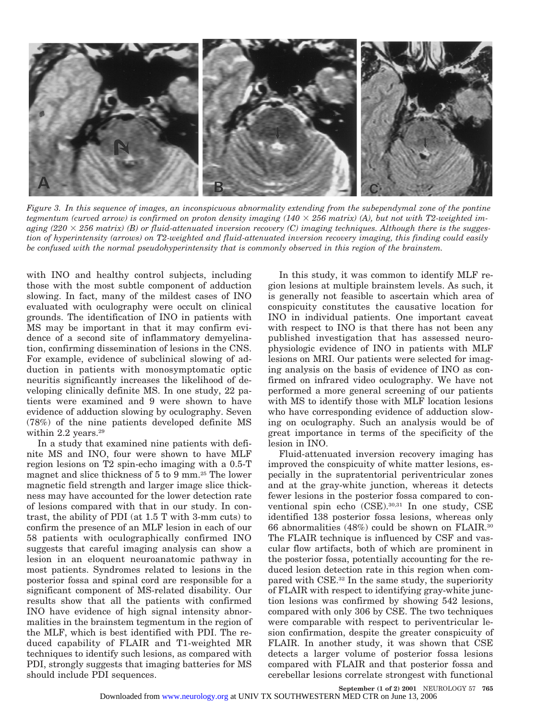

*Figure 3. In this sequence of images, an inconspicuous abnormality extending from the subependymal zone of the pontine tegmentum (curved arrow) is confirmed on proton density imaging (140 256 matrix) (A), but not with T2-weighted im*aging  $(220 \times 256$  matrix) (B) or fluid-attenuated inversion recovery (C) imaging techniques. Although there is the sugges*tion of hyperintensity (arrows) on T2-weighted and fluid-attenuated inversion recovery imaging, this finding could easily be confused with the normal pseudohyperintensity that is commonly observed in this region of the brainstem.*

with INO and healthy control subjects, including those with the most subtle component of adduction slowing. In fact, many of the mildest cases of INO evaluated with oculography were occult on clinical grounds. The identification of INO in patients with MS may be important in that it may confirm evidence of a second site of inflammatory demyelination, confirming dissemination of lesions in the CNS. For example, evidence of subclinical slowing of adduction in patients with monosymptomatic optic neuritis significantly increases the likelihood of developing clinically definite MS. In one study, 22 patients were examined and 9 were shown to have evidence of adduction slowing by oculography. Seven (78%) of the nine patients developed definite MS within 2.2 years. $29$ 

In a study that examined nine patients with definite MS and INO, four were shown to have MLF region lesions on T2 spin-echo imaging with a 0.5-T magnet and slice thickness of 5 to 9 mm.25 The lower magnetic field strength and larger image slice thickness may have accounted for the lower detection rate of lesions compared with that in our study. In contrast, the ability of PDI (at 1.5 T with 3-mm cuts) to confirm the presence of an MLF lesion in each of our 58 patients with oculographically confirmed INO suggests that careful imaging analysis can show a lesion in an eloquent neuroanatomic pathway in most patients. Syndromes related to lesions in the posterior fossa and spinal cord are responsible for a significant component of MS-related disability. Our results show that all the patients with confirmed INO have evidence of high signal intensity abnormalities in the brainstem tegmentum in the region of the MLF, which is best identified with PDI. The reduced capability of FLAIR and T1-weighted MR techniques to identify such lesions, as compared with PDI, strongly suggests that imaging batteries for MS should include PDI sequences.

In this study, it was common to identify MLF region lesions at multiple brainstem levels. As such, it is generally not feasible to ascertain which area of conspicuity constitutes the causative location for INO in individual patients. One important caveat with respect to INO is that there has not been any published investigation that has assessed neurophysiologic evidence of INO in patients with MLF lesions on MRI. Our patients were selected for imaging analysis on the basis of evidence of INO as confirmed on infrared video oculography. We have not performed a more general screening of our patients with MS to identify those with MLF location lesions who have corresponding evidence of adduction slowing on oculography. Such an analysis would be of great importance in terms of the specificity of the lesion in INO.

Fluid-attenuated inversion recovery imaging has improved the conspicuity of white matter lesions, especially in the supratentorial periventricular zones and at the gray-white junction, whereas it detects fewer lesions in the posterior fossa compared to conventional spin echo (CSE).30,31 In one study, CSE identified 138 posterior fossa lesions, whereas only 66 abnormalities (48%) could be shown on FLAIR.30 The FLAIR technique is influenced by CSF and vascular flow artifacts, both of which are prominent in the posterior fossa, potentially accounting for the reduced lesion detection rate in this region when compared with CSE.32 In the same study, the superiority of FLAIR with respect to identifying gray-white junction lesions was confirmed by showing 542 lesions, compared with only 306 by CSE. The two techniques were comparable with respect to periventricular lesion confirmation, despite the greater conspicuity of FLAIR. In another study, it was shown that CSE detects a larger volume of posterior fossa lesions compared with FLAIR and that posterior fossa and cerebellar lesions correlate strongest with functional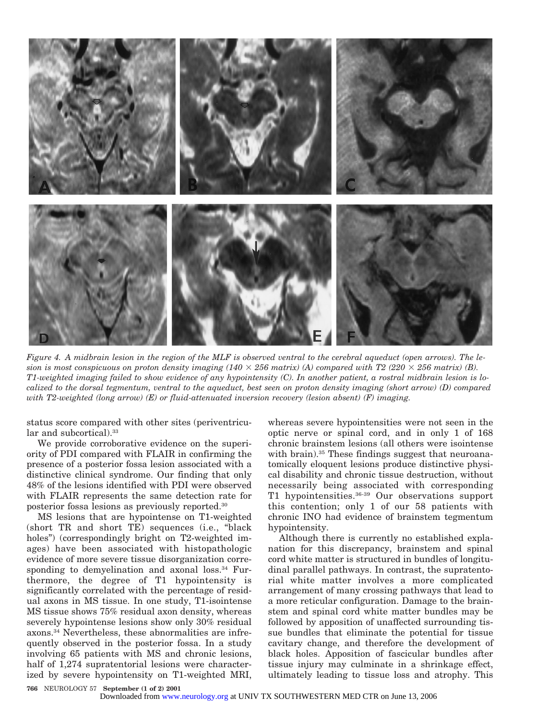

*Figure 4. A midbrain lesion in the region of the MLF is observed ventral to the cerebral aqueduct (open arrows). The lesion is most conspicuous on proton density imaging*  $(140 \times 256 \text{ matrix})$  *(A) compared with T2 (220*  $\times$  *256 matrix) (B). T1-weighted imaging failed to show evidence of any hypointensity (C). In another patient, a rostral midbrain lesion is localized to the dorsal tegmentum, ventral to the aqueduct, best seen on proton density imaging (short arrow) (D) compared with T2-weighted (long arrow) (E) or fluid-attenuated inversion recovery (lesion absent) (F) imaging.*

status score compared with other sites (periventricular and subcortical).<sup>33</sup>

We provide corroborative evidence on the superiority of PDI compared with FLAIR in confirming the presence of a posterior fossa lesion associated with a distinctive clinical syndrome. Our finding that only 48% of the lesions identified with PDI were observed with FLAIR represents the same detection rate for posterior fossa lesions as previously reported.30

MS lesions that are hypointense on T1-weighted (short TR and short TE) sequences (i.e., "black holes") (correspondingly bright on T2-weighted images) have been associated with histopathologic evidence of more severe tissue disorganization corresponding to demyelination and axonal loss.<sup>34</sup> Furthermore, the degree of T1 hypointensity is significantly correlated with the percentage of residual axons in MS tissue. In one study, T1-isointense MS tissue shows 75% residual axon density, whereas severely hypointense lesions show only 30% residual axons.34 Nevertheless, these abnormalities are infrequently observed in the posterior fossa. In a study involving 65 patients with MS and chronic lesions, half of 1,274 supratentorial lesions were characterized by severe hypointensity on T1-weighted MRI,

whereas severe hypointensities were not seen in the optic nerve or spinal cord, and in only 1 of 168 chronic brainstem lesions (all others were isointense with brain).<sup>35</sup> These findings suggest that neuroanatomically eloquent lesions produce distinctive physical disability and chronic tissue destruction, without necessarily being associated with corresponding T1 hypointensities.36-39 Our observations support this contention; only 1 of our 58 patients with chronic INO had evidence of brainstem tegmentum hypointensity.

Although there is currently no established explanation for this discrepancy, brainstem and spinal cord white matter is structured in bundles of longitudinal parallel pathways. In contrast, the supratentorial white matter involves a more complicated arrangement of many crossing pathways that lead to a more reticular configuration. Damage to the brainstem and spinal cord white matter bundles may be followed by apposition of unaffected surrounding tissue bundles that eliminate the potential for tissue cavitary change, and therefore the development of black holes. Apposition of fascicular bundles after tissue injury may culminate in a shrinkage effect, ultimately leading to tissue loss and atrophy. This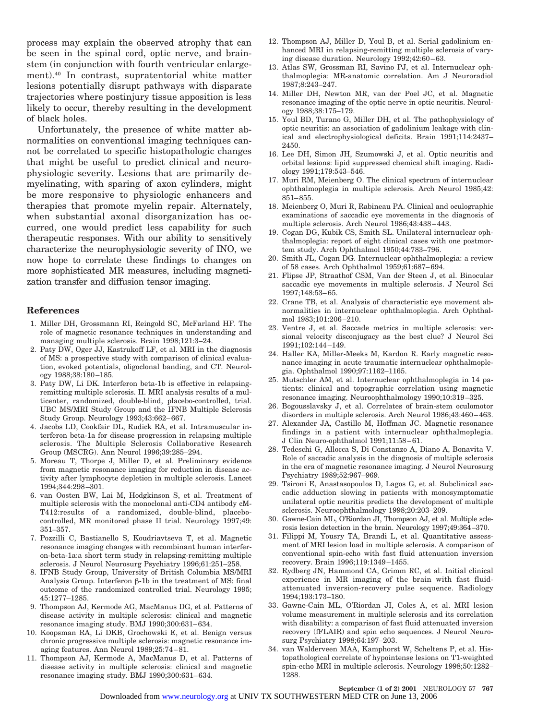process may explain the observed atrophy that can be seen in the spinal cord, optic nerve, and brainstem (in conjunction with fourth ventricular enlargement).40 In contrast, supratentorial white matter lesions potentially disrupt pathways with disparate trajectories where postinjury tissue apposition is less likely to occur, thereby resulting in the development of black holes.

Unfortunately, the presence of white matter abnormalities on conventional imaging techniques cannot be correlated to specific histopathologic changes that might be useful to predict clinical and neurophysiologic severity. Lesions that are primarily demyelinating, with sparing of axon cylinders, might be more responsive to physiologic enhancers and therapies that promote myelin repair. Alternately, when substantial axonal disorganization has occurred, one would predict less capability for such therapeutic responses. With our ability to sensitively characterize the neurophysiologic severity of INO, we now hope to correlate these findings to changes on more sophisticated MR measures, including magnetization transfer and diffusion tensor imaging.

#### **References**

- 1. Miller DH, Grossmann RI, Reingold SC, McFarland HF. The role of magnetic resonance techniques in understanding and managing multiple sclerosis. Brain 1998;121:3–24.
- 2. Paty DW, Oger JJ, Kastrukoff LF, et al. MRI in the diagnosis of MS: a prospective study with comparison of clinical evaluation, evoked potentials, oligoclonal banding, and CT. Neurology 1988;38:180–185.
- 3. Paty DW, Li DK. Interferon beta-1b is effective in relapsingremitting multiple sclerosis. II. MRI analysis results of a multicenter, randomized, double-blind, placebo-controlled, trial. UBC MS/MRI Study Group and the IFNB Multiple Sclerosis Study Group. Neurology 1993;43:662–667.
- 4. Jacobs LD, Cookfair DL, Rudick RA, et al. Intramuscular interferon beta-1a for disease progression in relapsing multiple sclerosis. The Multiple Sclerosis Collaborative Research Group (MSCRG). Ann Neurol 1996;39:285–294.
- 5. Moreau T, Thorpe J, Miller D, et al. Preliminary evidence from magnetic resonance imaging for reduction in disease activity after lymphocyte depletion in multiple sclerosis. Lancet 1994;344:298–301.
- 6. van Oosten BW, Lai M, Hodgkinson S, et al. Treatment of multiple sclerosis with the monoclonal anti-CD4 antibody cM-T412:results of a randomized, double-blind, placebocontrolled, MR monitored phase II trial. Neurology 1997;49: 351–357.
- 7. Pozzilli C, Bastianello S, Koudriavtseva T, et al. Magnetic resonance imaging changes with recombinant human interferon-beta-1a:a short term study in relapsing-remitting multiple sclerosis. J Neurol Neurosurg Psychiatry 1996;61:251–258.
- 8. IFNB Study Group, University of British Columbia MS/MRI Analysis Group. Interferon  $\beta$ -1b in the treatment of MS: final outcome of the randomized controlled trial. Neurology 1995; 45:1277–1285.
- 9. Thompson AJ, Kermode AG, MacManus DG, et al. Patterns of disease activity in multiple sclerosis: clinical and magnetic resonance imaging study. BMJ 1990;300:631–634.
- 10. Koopsman RA, Li DKB, Grochowski E, et al. Benign versus chronic progressive multiple sclerosis: magnetic resonance imaging features. Ann Neurol 1989;25:74–81.
- 11. Thompson AJ, Kermode A, MacManus D, et al. Patterns of disease activity in multiple sclerosis: clinical and magnetic resonance imaging study. BMJ 1990;300:631–634.
- 12. Thompson AJ, Miller D, Youl B, et al. Serial gadolinium enhanced MRI in relapsing-remitting multiple sclerosis of varying disease duration. Neurology 1992;42:60–63.
- 13. Atlas SW, Grossman RI, Savino PJ, et al. Internuclear ophthalmoplegia: MR-anatomic correlation. Am J Neuroradiol 1987;8:243–247.
- 14. Miller DH, Newton MR, van der Poel JC, et al. Magnetic resonance imaging of the optic nerve in optic neuritis. Neurology 1988;38:175–179.
- 15. Youl BD, Turano G, Miller DH, et al. The pathophysiology of optic neuritis: an association of gadolinium leakage with clinical and electrophysiological deficits. Brain 1991;114:2437– 2450.
- 16. Lee DH, Simon JH, Szumowski J, et al. Optic neuritis and orbital lesions: lipid suppressed chemical shift imaging. Radiology 1991;179:543–546.
- 17. Muri RM, Meienberg O. The clinical spectrum of internuclear ophthalmoplegia in multiple sclerosis. Arch Neurol 1985;42: 851–855.
- 18. Meienberg O, Muri R, Rabineau PA. Clinical and oculographic examinations of saccadic eye movements in the diagnosis of multiple sclerosis. Arch Neurol 1986;43:438–443.
- 19. Cogan DG, Kubik CS, Smith SL. Unilateral internuclear ophthalmoplegia: report of eight clinical cases with one postmortem study. Arch Ophthalmol 1950;44:783–796.
- 20. Smith JL, Cogan DG. Internuclear ophthalmoplegia: a review of 58 cases. Arch Ophthalmol 1959;61:687–694.
- 21. Flipse JP, Straathof CSM, Van der Steen J, et al. Binocular saccadic eye movements in multiple sclerosis. J Neurol Sci 1997;148:53–65.
- 22. Crane TB, et al. Analysis of characteristic eye movement abnormalities in internuclear ophthalmoplegia. Arch Ophthalmol 1983;101:206–210.
- 23. Ventre J, et al. Saccade metrics in multiple sclerosis: versional velocity disconjugacy as the best clue? J Neurol Sci 1991;102:144–149.
- 24. Haller KA, Miller-Meeks M, Kardon R. Early magnetic resonance imaging in acute traumatic internuclear ophthalmoplegia. Ophthalmol 1990;97:1162–1165.
- 25. Mutschler AM, et al. Internuclear ophthalmoplegia in 14 patients: clinical and topographic correlation using magnetic resonance imaging. Neuroophthalmology 1990;10:319–325.
- 26. Bogousslavsky J, et al. Correlates of brain-stem oculomotor disorders in multiple sclerosis. Arch Neurol 1986;43:460–463.
- 27. Alexander JA, Castillo M, Hoffman JC. Magnetic resonance findings in a patient with internuclear ophthalmoplegia. J Clin Neuro-ophthalmol 1991;11:58–61.
- 28. Tedeschi G, Allocca S, Di Constanzo A, Diano A, Bonavita V. Role of saccadic analysis in the diagnosis of multiple sclerosis in the era of magnetic resonance imaging. J Neurol Neurosurg Psychiatry 1989;52:967–969.
- 29. Tsironi E, Anastasopoulos D, Lagos G, et al. Subclinical saccadic adduction slowing in patients with monosymptomatic unilateral optic neuritis predicts the development of multiple sclerosis. Neuroophthalmology 1998;20:203–209.
- 30. Gawne-Cain ML, O'Riordan JI, Thompson AJ, et al. Multiple sclerosis lesion detection in the brain. Neurology 1997;49:364–370.
- 31. Filippi M, Yousry TA, Brandi L, et al. Quantitative assessment of MRI lesion load in multiple sclerosis. A comparison of conventional spin-echo with fast fluid attenuation inversion recovery. Brain 1996;119:1349–1455.
- 32. Rydberg JN, Hammond CA, Grimm RC, et al. Initial clinical experience in MR imaging of the brain with fast fluidattenuated inversion-recovery pulse sequence. Radiology 1994;193:173–180.
- 33. Gawne-Cain ML, O'Riordan JI, Coles A, et al. MRI lesion volume measurement in multiple sclerosis and its correlation with disability: a comparison of fast fluid attenuated inversion recovery (fFLAIR) and spin echo sequences. J Neurol Neurosurg Psychiatry 1998;64:197–203.
- 34. van Walderveen MAA, Kamphorst W, Scheltens P, et al. Histopathological correlate of hypointense lesions on T1-weighted spin-echo MRI in multiple sclerosis. Neurology 1998;50:1282– 1288.

**September (1 of 2) 2001** NEUROLOGY 57 **767** Downloaded from [www.neurology.org](http://www.neurology.org) at UNIV TX SOUTHWESTERN MED CTR on June 13, 2006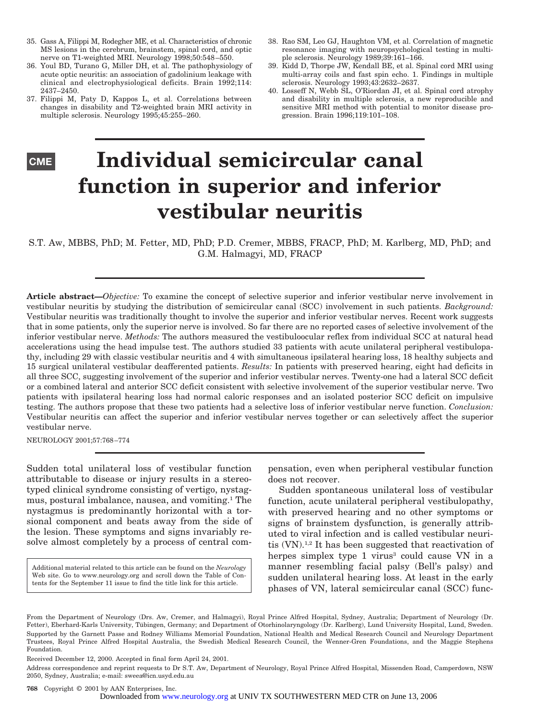- 35. Gass A, Filippi M, Rodegher ME, et al. Characteristics of chronic MS lesions in the cerebrum, brainstem, spinal cord, and optic nerve on T1-weighted MRI. Neurology 1998;50:548–550.
- 36. Youl BD, Turano G, Miller DH, et al. The pathophysiology of acute optic neuritis: an association of gadolinium leakage with clinical and electrophysiological deficits. Brain 1992;114: 2437–2450.
- 37. Filippi M, Paty D, Kappos L, et al. Correlations between changes in disability and T2-weighted brain MRI activity in multiple sclerosis. Neurology 1995;45:255–260.
- 38. Rao SM, Leo GJ, Haughton VM, et al. Correlation of magnetic resonance imaging with neuropsychological testing in multiple sclerosis. Neurology 1989;39:161–166.
- 39. Kidd D, Thorpe JW, Kendall BE, et al. Spinal cord MRI using multi-array coils and fast spin echo. 1. Findings in multiple sclerosis. Neurology 1993;43:2632–2637.
- 40. Losseff N, Webb SL, O'Riordan JI, et al. Spinal cord atrophy and disability in multiple sclerosis, a new reproducible and sensitive MRI method with potential to monitor disease progression. Brain 1996;119:101–108.

# **CME Individual semicircular canal function in superior and inferior vestibular neuritis**

S.T. Aw, MBBS, PhD; M. Fetter, MD, PhD; P.D. Cremer, MBBS, FRACP, PhD; M. Karlberg, MD, PhD; and G.M. Halmagyi, MD, FRACP

**Article abstract—***Objective:* To examine the concept of selective superior and inferior vestibular nerve involvement in vestibular neuritis by studying the distribution of semicircular canal (SCC) involvement in such patients. *Background:* Vestibular neuritis was traditionally thought to involve the superior and inferior vestibular nerves. Recent work suggests that in some patients, only the superior nerve is involved. So far there are no reported cases of selective involvement of the inferior vestibular nerve. *Methods:* The authors measured the vestibuloocular reflex from individual SCC at natural head accelerations using the head impulse test. The authors studied 33 patients with acute unilateral peripheral vestibulopathy, including 29 with classic vestibular neuritis and 4 with simultaneous ipsilateral hearing loss, 18 healthy subjects and 15 surgical unilateral vestibular deafferented patients. *Results:* In patients with preserved hearing, eight had deficits in all three SCC, suggesting involvement of the superior and inferior vestibular nerves. Twenty-one had a lateral SCC deficit or a combined lateral and anterior SCC deficit consistent with selective involvement of the superior vestibular nerve. Two patients with ipsilateral hearing loss had normal caloric responses and an isolated posterior SCC deficit on impulsive testing. The authors propose that these two patients had a selective loss of inferior vestibular nerve function. *Conclusion:* Vestibular neuritis can affect the superior and inferior vestibular nerves together or can selectively affect the superior vestibular nerve.

NEUROLOGY 2001;57:768–774

Sudden total unilateral loss of vestibular function attributable to disease or injury results in a stereotyped clinical syndrome consisting of vertigo, nystagmus, postural imbalance, nausea, and vomiting.1 The nystagmus is predominantly horizontal with a torsional component and beats away from the side of the lesion. These symptoms and signs invariably resolve almost completely by a process of central com-

Additional material related to this article can be found on the *Neurology* Web site. Go to www.neurology.org and scroll down the Table of Contents for the September 11 issue to find the title link for this article.

pensation, even when peripheral vestibular function does not recover.

Sudden spontaneous unilateral loss of vestibular function, acute unilateral peripheral vestibulopathy, with preserved hearing and no other symptoms or signs of brainstem dysfunction, is generally attributed to viral infection and is called vestibular neuritis (VN).1,2 It has been suggested that reactivation of herpes simplex type 1 virus<sup>3</sup> could cause VN in a manner resembling facial palsy (Bell's palsy) and sudden unilateral hearing loss. At least in the early phases of VN, lateral semicircular canal (SCC) func-

From the Department of Neurology (Drs. Aw, Cremer, and Halmagyi), Royal Prince Alfred Hospital, Sydney, Australia; Department of Neurology (Dr. Fetter), Eberhard-Karls University, Tübingen, Germany; and Department of Otorhinolaryngology (Dr. Karlberg), Lund University Hospital, Lund, Sweden. Supported by the Garnett Passe and Rodney Williams Memorial Foundation, National Health and Medical Research Council and Neurology Department Trustees, Royal Prince Alfred Hospital Australia, the Swedish Medical Research Council, the Wenner-Gren Foundations, and the Maggie Stephens Foundation.

Received December 12, 2000. Accepted in final form April 24, 2001.

Address correspondence and reprint requests to Dr S.T. Aw, Department of Neurology, Royal Prince Alfred Hospital, Missenden Road, Camperdown, NSW 2050, Sydney, Australia; e-mail: sweea@icn.usyd.edu.au